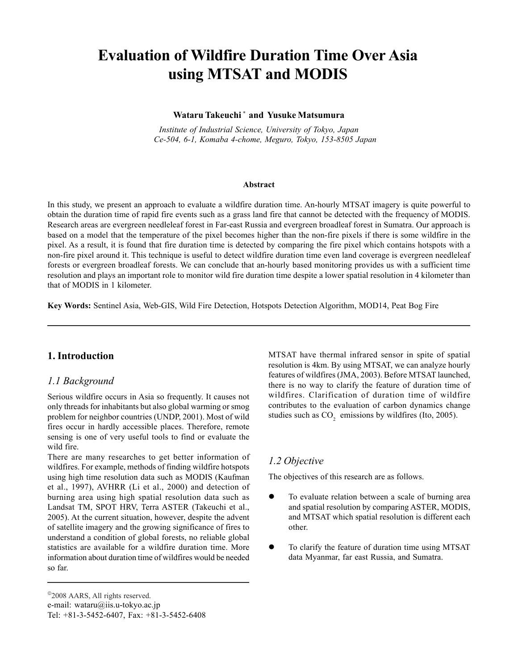# **Evaluation of Wildfire Duration Time Over Asia using MTSAT and MODIS**

#### **Wataru Takeuchi \* and Yusuke Matsumura**

*Institute of Industrial Science, University of Tokyo, Japan Ce-504, 6-1, Komaba 4-chome, Meguro, Tokyo, 153-8505 Japan*

#### **Abstract**

In this study, we present an approach to evaluate a wildfire duration time. An-hourly MTSAT imagery is quite powerful to obtain the duration time of rapid fire events such as a grass land fire that cannot be detected with the frequency of MODIS. Research areas are evergreen needleleaf forest in Far-east Russia and evergreen broadleaf forest in Sumatra. Our approach is based on a model that the temperature of the pixel becomes higher than the non-fire pixels if there is some wildfire in the pixel. As a result, it is found that fire duration time is detected by comparing the fire pixel which contains hotspots with a non-fire pixel around it. This technique is useful to detect wildfire duration time even land coverage is evergreen needleleaf forests or evergreen broadleaf forests. We can conclude that an-hourly based monitoring provides us with a sufficient time resolution and plays an important role to monitor wild fire duration time despite a lower spatial resolution in 4 kilometer than that of MODIS in 1 kilometer.

**Key Words:** Sentinel Asia, Web-GIS, Wild Fire Detection, Hotspots Detection Algorithm, MOD14, Peat Bog Fire

### **1. Introduction**

#### *1.1 Background*

Serious wildfire occurs in Asia so frequently. It causes not only threads for inhabitants but also global warming or smog problem for neighbor countries (UNDP, 2001). Most of wild fires occur in hardly accessible places. Therefore, remote sensing is one of very useful tools to find or evaluate the wild fire.

There are many researches to get better information of wildfires. For example, methods of finding wildfire hotspots using high time resolution data such as MODIS (Kaufman et al., 1997), AVHRR (Li et al., 2000) and detection of burning area using high spatial resolution data such as Landsat TM, SPOT HRV, Terra ASTER (Takeuchi et al., 2005). At the current situation, however, despite the advent of satellite imagery and the growing significance of fires to understand a condition of global forests, no reliable global statistics are available for a wildfire duration time. More information about duration time of wildfires would be needed so far.

MTSAT have thermal infrared sensor in spite of spatial resolution is 4km. By using MTSAT, we can analyze hourly features of wildfires (JMA, 2003). Before MTSAT launched, there is no way to clarify the feature of duration time of wildfires. Clarification of duration time of wildfire contributes to the evaluation of carbon dynamics change studies such as  $CO<sub>2</sub>$  emissions by wildfires (Ito, 2005).

#### *1.2 Objective*

The objectives of this research are as follows.

- $\bullet$  To evaluate relation between a scale of burning area and spatial resolution by comparing ASTER, MODIS, and MTSAT which spatial resolution is different each other.
- To clarify the feature of duration time using MTSAT data Myanmar, far east Russia, and Sumatra.

<sup>&</sup>lt;sup>©</sup>2008 AARS, All rights reserved. e-mail: wataru@iis.u-tokyo.ac.jp Tel: +81-3-5452-6407, Fax: +81-3-5452-6408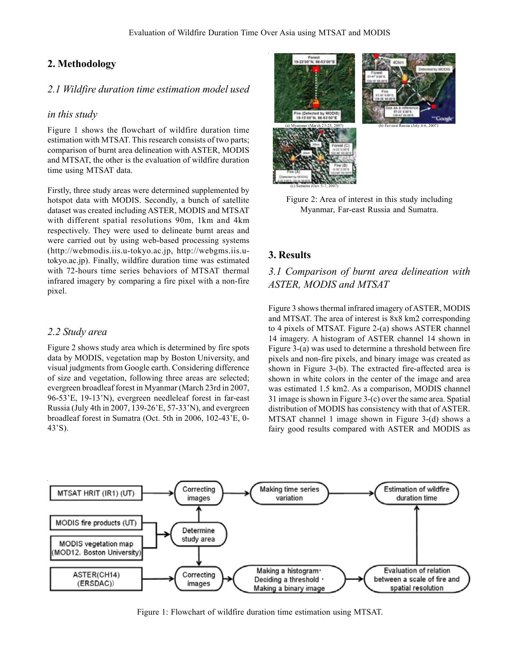## **2. Methodology**

#### *2.1 Wildfire duration time estimation model used*

#### *in this study*

Figure 1 shows the flowchart of wildfire duration time estimation with MTSAT. This research consists of two parts; comparison of burnt area delineation with ASTER, MODIS and MTSAT, the other is the evaluation of wildfire duration time using MTSAT data.

Firstly, three study areas were determined supplemented by hotspot data with MODIS. Secondly, a bunch of satellite dataset was created including ASTER, MODIS and MTSAT with different spatial resolutions 90m, 1km and 4km respectively. They were used to delineate burnt areas and were carried out by using web-based processing systems (http://webmodis.iis.u-tokyo.ac.jp, http://webgms.iis.utokyo.ac.jp). Finally, wildfire duration time was estimated with 72-hours time series behaviors of MTSAT thermal infrared imagery by comparing a fire pixel with a non-fire pixel.

#### *2.2 Study area*

Figure 2 shows study area which is determined by fire spots data by MODIS, vegetation map by Boston University, and visual judgments from Google earth. Considering difference of size and vegetation, following three areas are selected; evergreen broadleaf forest in Myanmar (March 23rd in 2007, 96-53'E, 19-13'N), evergreen needleleaf forest in far-east Russia (July 4th in 2007, 139-26'E, 57-33'N), and evergreen broadleaf forest in Sumatra (Oct. 5th in 2006, 102-43'E, 0- 43'S).



Figure 2: Area of interest in this study including Myanmar, Far-east Russia and Sumatra.

### **3. Results**

## *3.1 Comparison of burnt area delineation with ASTER, MODIS and MTSAT*

Figure 3 shows thermal infrared imagery of ASTER, MODIS and MTSAT. The area of interest is 8x8 km2 corresponding to 4 pixels of MTSAT. Figure 2-(a) shows ASTER channel 14 imagery. A histogram of ASTER channel 14 shown in Figure 3-(a) was used to determine a threshold between fire pixels and non-fire pixels, and binary image was created as shown in Figure 3-(b). The extracted fire-affected area is shown in white colors in the center of the image and area was estimated 1.5 km2. As a comparison, MODIS channel 31 image is shown in Figure 3-(c) over the same area. Spatial distribution of MODIS has consistency with that of ASTER. MTSAT channel 1 image shown in Figure 3-(d) shows a fairy good results compared with ASTER and MODIS as



Figure 1: Flowchart of wildfire duration time estimation using MTSAT.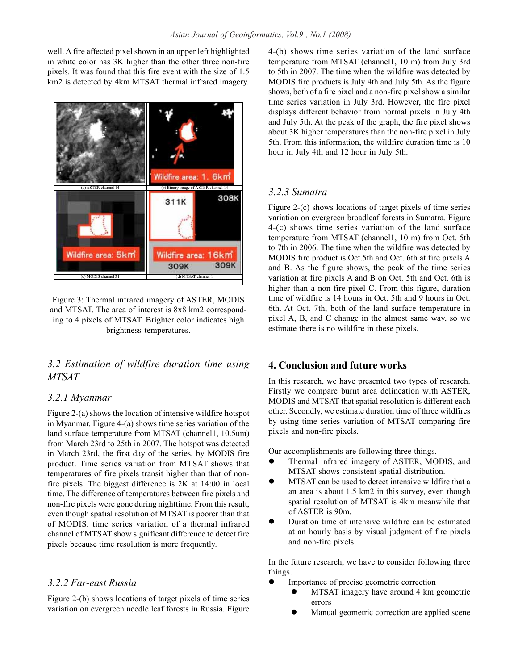well. A fire affected pixel shown in an upper left highlighted in white color has 3K higher than the other three non-fire pixels. It was found that this fire event with the size of 1.5 km2 is detected by 4km MTSAT thermal infrared imagery.



Figure 3: Thermal infrared imagery of ASTER, MODIS and MTSAT. The area of interest is 8x8 km2 corresponding to 4 pixels of MTSAT. Brighter color indicates high brightness temperatures.

## *3.2 Estimation of wildfire duration time using MTSAT*

### *3.2.1 Myanmar*

Figure 2-(a) shows the location of intensive wildfire hotspot in Myanmar. Figure 4-(a) shows time series variation of the land surface temperature from MTSAT (channel1, 10.5um) from March 23rd to 25th in 2007. The hotspot was detected in March 23rd, the first day of the series, by MODIS fire product. Time series variation from MTSAT shows that temperatures of fire pixels transit higher than that of nonfire pixels. The biggest difference is 2K at 14:00 in local time. The difference of temperatures between fire pixels and non-fire pixels were gone during nighttime. From this result, even though spatial resolution of MTSAT is poorer than that of MODIS, time series variation of a thermal infrared channel of MTSAT show significant difference to detect fire pixels because time resolution is more frequently.

## *3.2.2 Far-east Russia*

Figure 2-(b) shows locations of target pixels of time series variation on evergreen needle leaf forests in Russia. Figure 4-(b) shows time series variation of the land surface temperature from MTSAT (channel1, 10 m) from July 3rd to 5th in 2007. The time when the wildfire was detected by MODIS fire products is July 4th and July 5th. As the figure shows, both of a fire pixel and a non-fire pixel show a similar time series variation in July 3rd. However, the fire pixel displays different behavior from normal pixels in July 4th and July 5th. At the peak of the graph, the fire pixel shows about 3K higher temperatures than the non-fire pixel in July 5th. From this information, the wildfire duration time is 10 hour in July 4th and 12 hour in July 5th.

## *3.2.3 Sumatra*

Figure 2-(c) shows locations of target pixels of time series variation on evergreen broadleaf forests in Sumatra. Figure 4-(c) shows time series variation of the land surface temperature from MTSAT (channel1, 10 m) from Oct. 5th to 7th in 2006. The time when the wildfire was detected by MODIS fire product is Oct.5th and Oct. 6th at fire pixels A and B. As the figure shows, the peak of the time series variation at fire pixels A and B on Oct. 5th and Oct. 6th is higher than a non-fire pixel C. From this figure, duration time of wildfire is 14 hours in Oct. 5th and 9 hours in Oct. 6th. At Oct. 7th, both of the land surface temperature in pixel A, B, and C change in the almost same way, so we estimate there is no wildfire in these pixels.

## **4. Conclusion and future works**

In this research, we have presented two types of research. Firstly we compare burnt area delineation with ASTER, MODIS and MTSAT that spatial resolution is different each other. Secondly, we estimate duration time of three wildfires by using time series variation of MTSAT comparing fire pixels and non-fire pixels.

Our accomplishments are following three things.

- Thermal infrared imagery of ASTER, MODIS, and MTSAT shows consistent spatial distribution.
- MTSAT can be used to detect intensive wildfire that a an area is about 1.5 km2 in this survey, even though spatial resolution of MTSAT is 4km meanwhile that of ASTER is 90m.
- Duration time of intensive wildfire can be estimated at an hourly basis by visual judgment of fire pixels and non-fire pixels.

In the future research, we have to consider following three things.

- Importance of precise geometric correction
	- MTSAT imagery have around 4 km geometric errors
	- Manual geometric correction are applied scene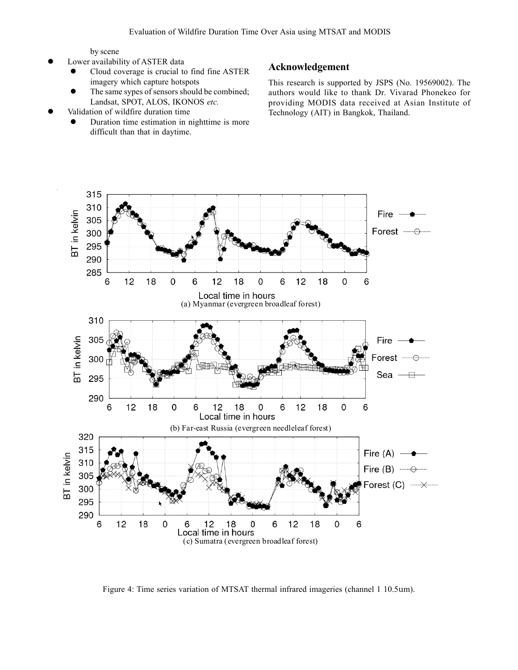by scene

- Lower availability of ASTER data
	- Cloud coverage is crucial to find fine ASTER imagery which capture hotspots
	- The same sypes of sensors should be combined; Landsat, SPOT, ALOS, IKONOS *etc.*
- Validation of wildfire duration time
	- Duration time estimation in nighttime is more difficult than that in daytime.

## **Acknowledgement**

This research is supported by JSPS (No. 19569002). The authors would like to thank Dr. Vivarad Phonekeo for providing MODIS data received at Asian Institute of Technology (AIT) in Bangkok, Thailand.



Figure 4: Time series variation of MTSAT thermal infrared imageries (channel 1 10.5um).